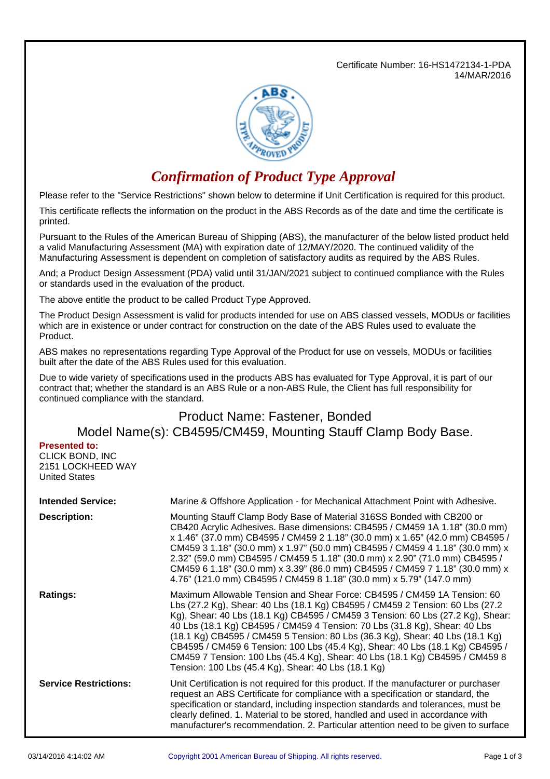Certificate Number: 16-HS1472134-1-PDA 14/MAR/2016



## *Confirmation of Product Type Approval*

Please refer to the "Service Restrictions" shown below to determine if Unit Certification is required for this product.

This certificate reflects the information on the product in the ABS Records as of the date and time the certificate is printed.

Pursuant to the Rules of the American Bureau of Shipping (ABS), the manufacturer of the below listed product held a valid Manufacturing Assessment (MA) with expiration date of 12/MAY/2020. The continued validity of the Manufacturing Assessment is dependent on completion of satisfactory audits as required by the ABS Rules.

And; a Product Design Assessment (PDA) valid until 31/JAN/2021 subject to continued compliance with the Rules or standards used in the evaluation of the product.

The above entitle the product to be called Product Type Approved.

The Product Design Assessment is valid for products intended for use on ABS classed vessels, MODUs or facilities which are in existence or under contract for construction on the date of the ABS Rules used to evaluate the Product.

ABS makes no representations regarding Type Approval of the Product for use on vessels, MODUs or facilities built after the date of the ABS Rules used for this evaluation.

Due to wide variety of specifications used in the products ABS has evaluated for Type Approval, it is part of our contract that; whether the standard is an ABS Rule or a non-ABS Rule, the Client has full responsibility for continued compliance with the standard.

## Product Name: Fastener, Bonded Model Name(s): CB4595/CM459, Mounting Stauff Clamp Body Base.

## **Presented to:**

CLICK BOND, INC 2151 LOCKHEED WAY United States

| <b>Intended Service:</b>     | Marine & Offshore Application - for Mechanical Attachment Point with Adhesive.                                                                                                                                                                                                                                                                                                                                                                                                                                                                                                                                                      |
|------------------------------|-------------------------------------------------------------------------------------------------------------------------------------------------------------------------------------------------------------------------------------------------------------------------------------------------------------------------------------------------------------------------------------------------------------------------------------------------------------------------------------------------------------------------------------------------------------------------------------------------------------------------------------|
| <b>Description:</b>          | Mounting Stauff Clamp Body Base of Material 316SS Bonded with CB200 or<br>CB420 Acrylic Adhesives. Base dimensions: CB4595 / CM459 1A 1.18" (30.0 mm)<br>x 1.46" (37.0 mm) CB4595 / CM459 2 1.18" (30.0 mm) x 1.65" (42.0 mm) CB4595 /<br>CM459 3 1.18" (30.0 mm) x 1.97" (50.0 mm) CB4595 / CM459 4 1.18" (30.0 mm) x<br>2.32" (59.0 mm) CB4595 / CM459 5 1.18" (30.0 mm) x 2.90" (71.0 mm) CB4595 /<br>CM459 6 1.18" (30.0 mm) x 3.39" (86.0 mm) CB4595 / CM459 7 1.18" (30.0 mm) x<br>4.76" (121.0 mm) CB4595 / CM459 8 1.18" (30.0 mm) x 5.79" (147.0 mm)                                                                       |
| <b>Ratings:</b>              | Maximum Allowable Tension and Shear Force: CB4595 / CM459 1A Tension: 60<br>Lbs (27.2 Kg), Shear: 40 Lbs (18.1 Kg) CB4595 / CM459 2 Tension: 60 Lbs (27.2<br>Kg), Shear: 40 Lbs (18.1 Kg) CB4595 / CM459 3 Tension: 60 Lbs (27.2 Kg), Shear:<br>40 Lbs (18.1 Kg) CB4595 / CM459 4 Tension: 70 Lbs (31.8 Kg), Shear: 40 Lbs<br>(18.1 Kg) CB4595 / CM459 5 Tension: 80 Lbs (36.3 Kg), Shear: 40 Lbs (18.1 Kg)<br>CB4595 / CM459 6 Tension: 100 Lbs (45.4 Kg), Shear: 40 Lbs (18.1 Kg) CB4595 /<br>CM459 7 Tension: 100 Lbs (45.4 Kg), Shear: 40 Lbs (18.1 Kg) CB4595 / CM459 8<br>Tension: 100 Lbs (45.4 Kg), Shear: 40 Lbs (18.1 Kg) |
| <b>Service Restrictions:</b> | Unit Certification is not required for this product. If the manufacturer or purchaser<br>request an ABS Certificate for compliance with a specification or standard, the<br>specification or standard, including inspection standards and tolerances, must be<br>clearly defined. 1. Material to be stored, handled and used in accordance with<br>manufacturer's recommendation. 2. Particular attention need to be given to surface                                                                                                                                                                                               |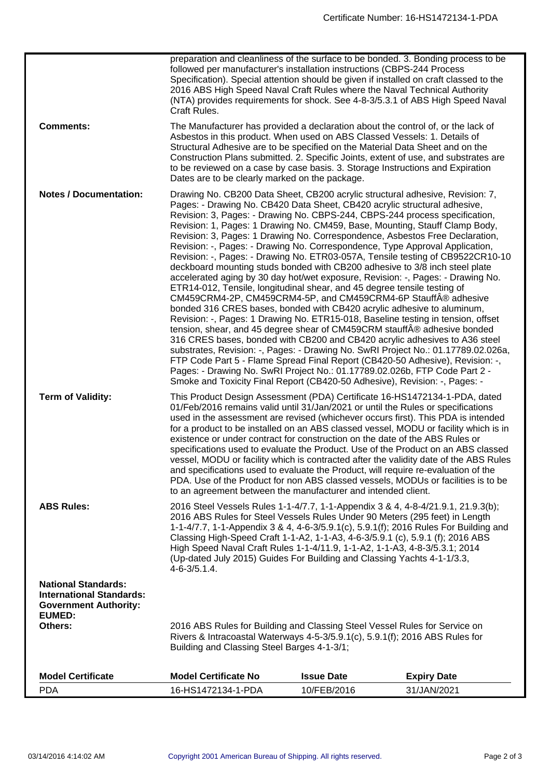|                                                                                                                | preparation and cleanliness of the surface to be bonded. 3. Bonding process to be<br>followed per manufacturer's installation instructions (CBPS-244 Process                                                                                                                                                                                                                                                                                                                                                                                                                                                                                                                                                                                                                                                                                          |                                                                                                                                                                                                                                                                                                                                                                                                                                                                                                                                                                                                                                                                                                                                                                                                                                                                                                                                                                                                                                                                                                                                                                                                                                                                                                                                                                                        |                                                                                                                                                                     |  |
|----------------------------------------------------------------------------------------------------------------|-------------------------------------------------------------------------------------------------------------------------------------------------------------------------------------------------------------------------------------------------------------------------------------------------------------------------------------------------------------------------------------------------------------------------------------------------------------------------------------------------------------------------------------------------------------------------------------------------------------------------------------------------------------------------------------------------------------------------------------------------------------------------------------------------------------------------------------------------------|----------------------------------------------------------------------------------------------------------------------------------------------------------------------------------------------------------------------------------------------------------------------------------------------------------------------------------------------------------------------------------------------------------------------------------------------------------------------------------------------------------------------------------------------------------------------------------------------------------------------------------------------------------------------------------------------------------------------------------------------------------------------------------------------------------------------------------------------------------------------------------------------------------------------------------------------------------------------------------------------------------------------------------------------------------------------------------------------------------------------------------------------------------------------------------------------------------------------------------------------------------------------------------------------------------------------------------------------------------------------------------------|---------------------------------------------------------------------------------------------------------------------------------------------------------------------|--|
|                                                                                                                | Craft Rules.                                                                                                                                                                                                                                                                                                                                                                                                                                                                                                                                                                                                                                                                                                                                                                                                                                          | Specification). Special attention should be given if installed on craft classed to the<br>2016 ABS High Speed Naval Craft Rules where the Naval Technical Authority                                                                                                                                                                                                                                                                                                                                                                                                                                                                                                                                                                                                                                                                                                                                                                                                                                                                                                                                                                                                                                                                                                                                                                                                                    | (NTA) provides requirements for shock. See 4-8-3/5.3.1 of ABS High Speed Naval                                                                                      |  |
| <b>Comments:</b>                                                                                               | Dates are to be clearly marked on the package.                                                                                                                                                                                                                                                                                                                                                                                                                                                                                                                                                                                                                                                                                                                                                                                                        | The Manufacturer has provided a declaration about the control of, or the lack of<br>Asbestos in this product. When used on ABS Classed Vessels: 1. Details of<br>Structural Adhesive are to be specified on the Material Data Sheet and on the<br>Construction Plans submitted. 2. Specific Joints, extent of use, and substrates are<br>to be reviewed on a case by case basis. 3. Storage Instructions and Expiration                                                                                                                                                                                                                                                                                                                                                                                                                                                                                                                                                                                                                                                                                                                                                                                                                                                                                                                                                                |                                                                                                                                                                     |  |
| <b>Notes / Documentation:</b>                                                                                  |                                                                                                                                                                                                                                                                                                                                                                                                                                                                                                                                                                                                                                                                                                                                                                                                                                                       | Drawing No. CB200 Data Sheet, CB200 acrylic structural adhesive, Revision: 7,<br>Pages: - Drawing No. CB420 Data Sheet, CB420 acrylic structural adhesive,<br>Revision: 3, Pages: - Drawing No. CBPS-244, CBPS-244 process specification,<br>Revision: 1, Pages: 1 Drawing No. CM459, Base, Mounting, Stauff Clamp Body,<br>Revision: 3, Pages: 1 Drawing No. Correspondence, Asbestos Free Declaration,<br>Revision: -, Pages: - Drawing No. Correspondence, Type Approval Application,<br>deckboard mounting studs bonded with CB200 adhesive to 3/8 inch steel plate<br>accelerated aging by 30 day hot/wet exposure, Revision: -, Pages: - Drawing No.<br>ETR14-012, Tensile, longitudinal shear, and 45 degree tensile testing of<br>CM459CRM4-2P, CM459CRM4-5P, and CM459CRM4-6P Stauff $\hat{A}$ ® adhesive<br>bonded 316 CRES bases, bonded with CB420 acrylic adhesive to aluminum,<br>Revision: -, Pages: 1 Drawing No. ETR15-018, Baseline testing in tension, offset<br>tension, shear, and 45 degree shear of CM459CRM stauff® adhesive bonded<br>316 CRES bases, bonded with CB200 and CB420 acrylic adhesives to A36 steel<br>FTP Code Part 5 - Flame Spread Final Report (CB420-50 Adhesive), Revision: -,<br>Pages: - Drawing No. SwRI Project No.: 01.17789.02.026b, FTP Code Part 2 -<br>Smoke and Toxicity Final Report (CB420-50 Adhesive), Revision: -, Pages: - | Revision: -, Pages: - Drawing No. ETR03-057A, Tensile testing of CB9522CR10-10<br>substrates, Revision: -, Pages: - Drawing No. SwRI Project No.: 01.17789.02.026a, |  |
| <b>Term of Validity:</b>                                                                                       | This Product Design Assessment (PDA) Certificate 16-HS1472134-1-PDA, dated<br>01/Feb/2016 remains valid until 31/Jan/2021 or until the Rules or specifications<br>used in the assessment are revised (whichever occurs first). This PDA is intended<br>for a product to be installed on an ABS classed vessel, MODU or facility which is in<br>existence or under contract for construction on the date of the ABS Rules or<br>specifications used to evaluate the Product. Use of the Product on an ABS classed<br>vessel, MODU or facility which is contracted after the validity date of the ABS Rules<br>and specifications used to evaluate the Product, will require re-evaluation of the<br>PDA. Use of the Product for non ABS classed vessels, MODUs or facilities is to be<br>to an agreement between the manufacturer and intended client. |                                                                                                                                                                                                                                                                                                                                                                                                                                                                                                                                                                                                                                                                                                                                                                                                                                                                                                                                                                                                                                                                                                                                                                                                                                                                                                                                                                                        |                                                                                                                                                                     |  |
| <b>ABS Rules:</b>                                                                                              | 2016 Steel Vessels Rules 1-1-4/7.7, 1-1-Appendix 3 & 4, 4-8-4/21.9.1, 21.9.3(b);<br>2016 ABS Rules for Steel Vessels Rules Under 90 Meters (295 feet) in Length<br>1-1-4/7.7, 1-1-Appendix 3 & 4, 4-6-3/5.9.1(c), 5.9.1(f); 2016 Rules For Building and<br>Classing High-Speed Craft 1-1-A2, 1-1-A3, 4-6-3/5.9.1 (c), 5.9.1 (f); 2016 ABS<br>High Speed Naval Craft Rules 1-1-4/11.9, 1-1-A2, 1-1-A3, 4-8-3/5.3.1; 2014<br>(Up-dated July 2015) Guides For Building and Classing Yachts 4-1-1/3.3,<br>$4 - 6 - 3/5.1.4$ .                                                                                                                                                                                                                                                                                                                             |                                                                                                                                                                                                                                                                                                                                                                                                                                                                                                                                                                                                                                                                                                                                                                                                                                                                                                                                                                                                                                                                                                                                                                                                                                                                                                                                                                                        |                                                                                                                                                                     |  |
| <b>National Standards:</b><br><b>International Standards:</b><br><b>Government Authority:</b><br><b>EUMED:</b> |                                                                                                                                                                                                                                                                                                                                                                                                                                                                                                                                                                                                                                                                                                                                                                                                                                                       |                                                                                                                                                                                                                                                                                                                                                                                                                                                                                                                                                                                                                                                                                                                                                                                                                                                                                                                                                                                                                                                                                                                                                                                                                                                                                                                                                                                        |                                                                                                                                                                     |  |
| Others:                                                                                                        | 2016 ABS Rules for Building and Classing Steel Vessel Rules for Service on<br>Rivers & Intracoastal Waterways 4-5-3/5.9.1(c), 5.9.1(f); 2016 ABS Rules for<br>Building and Classing Steel Barges 4-1-3/1;                                                                                                                                                                                                                                                                                                                                                                                                                                                                                                                                                                                                                                             |                                                                                                                                                                                                                                                                                                                                                                                                                                                                                                                                                                                                                                                                                                                                                                                                                                                                                                                                                                                                                                                                                                                                                                                                                                                                                                                                                                                        |                                                                                                                                                                     |  |
| <b>Model Certificate</b>                                                                                       | <b>Model Certificate No</b>                                                                                                                                                                                                                                                                                                                                                                                                                                                                                                                                                                                                                                                                                                                                                                                                                           | <b>Issue Date</b>                                                                                                                                                                                                                                                                                                                                                                                                                                                                                                                                                                                                                                                                                                                                                                                                                                                                                                                                                                                                                                                                                                                                                                                                                                                                                                                                                                      | <b>Expiry Date</b>                                                                                                                                                  |  |
| <b>PDA</b>                                                                                                     | 16-HS1472134-1-PDA                                                                                                                                                                                                                                                                                                                                                                                                                                                                                                                                                                                                                                                                                                                                                                                                                                    | 10/FEB/2016                                                                                                                                                                                                                                                                                                                                                                                                                                                                                                                                                                                                                                                                                                                                                                                                                                                                                                                                                                                                                                                                                                                                                                                                                                                                                                                                                                            | 31/JAN/2021                                                                                                                                                         |  |